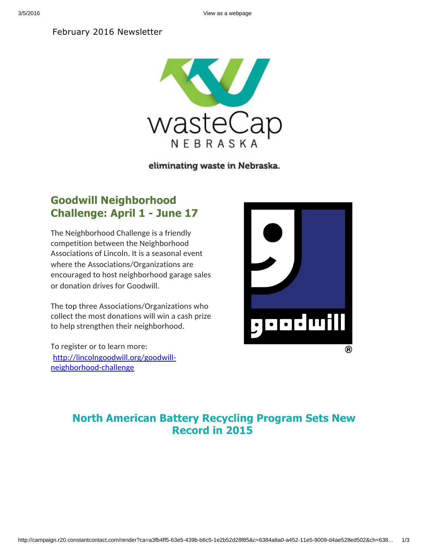3/5/2016 View as a webpage

#### February 2016 Newsletter



eliminating waste in Nebraska.

## **Goodwill Neighborhood Challenge: April 1 June 17**

The Neighborhood Challenge is a friendly competition between the Neighborhood Associations of Lincoln. It is a seasonal event where the Associations/Organizations are encouraged to host neighborhood garage sales or donation drives for Goodwill.

The top three Associations/Organizations who collect the most donations will win a cash prize to help strengthen their neighborhood.

To register or to learn more: [http://lincolngoodwill.org/goodwill](http://r20.rs6.net/tn.jsp?f=001bxxpKhti3dSRvmgy7PuN6sqMvnuiQJupcYawf3k37Mh8BEwJEMJIysCW1vpuz6TU3ROeWxskOeekiIV6iVAeUcHKD6p0LDe8dQGlhnLKgsey8K3tnDkRQJOgNRYH_0Y2uHGUi0r0G2xgbGg8RMOJEW14hLBc5BPGkUFm50Ba1rzmaNZH7Vovx6qGhskM0_H9CF8gO6X5SFxIV36FQxnys-ca9UwslNHo&c=&ch=)neighborhood-challenge



### **North American Battery Recycling Program Sets New Record in 2015**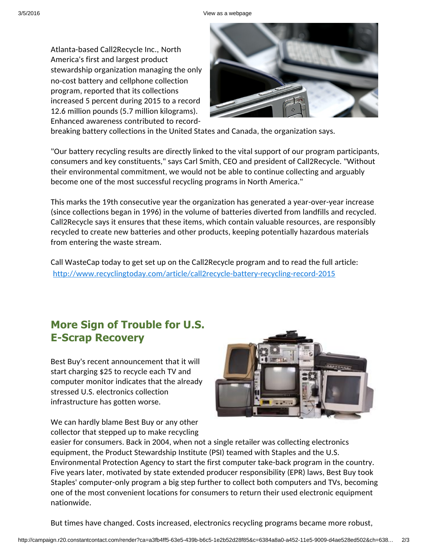Atlanta-based Call2Recycle Inc., North America's first and largest product stewardship organization managing the only no-cost battery and cellphone collection program, reported that its collections increased 5 percent during 2015 to a record 12.6 million pounds (5.7 million kilograms). Enhanced awareness contributed to record-



breaking battery collections in the United States and Canada, the organization says.

"Our battery recycling results are directly linked to the vital support of our program participants, consumers and key constituents," says Carl Smith, CEO and president of Call2Recycle. "Without their environmental commitment, we would not be able to continue collecting and arguably become one of the most successful recycling programs in North America."

This marks the 19th consecutive year the organization has generated a year-over-year increase (since collections began in 1996) in the volume of batteries diverted from landfills and recycled. Call2Recycle says it ensures that these items, which contain valuable resources, are responsibly recycled to create new batteries and other products, keeping potentially hazardous materials from entering the waste stream.

Call WasteCap today to get set up on the Call2Recycle program and to read the full article: [http://www.recyclingtoday.com/article/call2recycle-battery-recycling-record-2015](http://r20.rs6.net/tn.jsp?f=001bxxpKhti3dSRvmgy7PuN6sqMvnuiQJupcYawf3k37Mh8BEwJEMJIysCW1vpuz6TUvfDEIz3MXWjjf60NvvYZpN2z7IUo6WrPROUK1IVqLNy4QoSamiW4UKokMu-REgXllOrVfxkk85YEpI9FBMNaFe02hAeHS08dYywY8PxRd3F2wTznQJNvA6a4Cxth2JQPbCo2XxE3DdFXsQZZ4E0wjVpAjxqtwTVTSLCTlVL6TwqxGAG2KJlWnpG5NAknFZy5&c=&ch=)

# **More Sign of Trouble for U.S. E-Scrap Recovery**

Best Buy's recent announcement that it will start charging \$25 to recycle each TV and computer monitor indicates that the already stressed U.S. electronics collection infrastructure has gotten worse.



We can hardly blame Best Buy or any other collector that stepped up to make recycling

easier for consumers. Back in 2004, when not a single retailer was collecting electronics equipment, the Product Stewardship Institute (PSI) teamed with Staples and the U.S. Environmental Protection Agency to start the first computer take-back program in the country. Five years later, motivated by state extended producer responsibility (EPR) laws, Best Buy took Staples' computer-only program a big step further to collect both computers and TVs, becoming one of the most convenient locations for consumers to return their used electronic equipment nationwide.

But times have changed. Costs increased, electronics recycling programs became more robust,